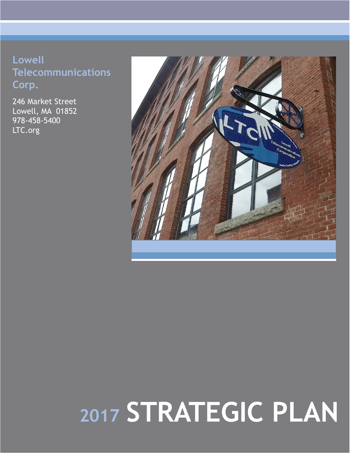## **Lowell Telecommunications Corp.**

246 Market Street Lowell, MA 01852 978-458-5400 LTC.org



# **<sup>2017</sup> STRATEGIC PLAN**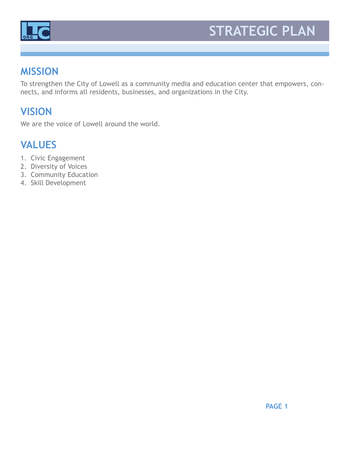

## **STRATEGIC PLAN**

#### **MISSION**

To strengthen the City of Lowell as a community media and education center that empowers, connects, and informs all residents, businesses, and organizations in the City.

## **VISION**

We are the voice of Lowell around the world.

## **VALUES**

- 1. Civic Engagement
- 2. Diversity of Voices
- 3. Community Education
- 4. Skill Development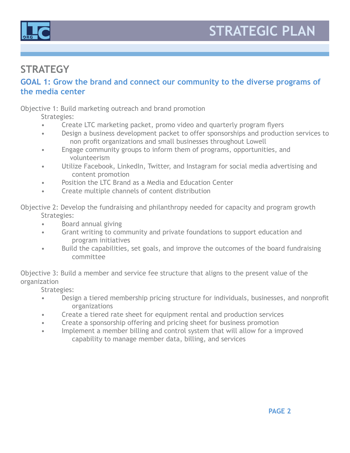



#### **STRATEGY**

#### **GOAL 1: Grow the brand and connect our community to the diverse programs of the media center**

Objective 1: Build marketing outreach and brand promotion

Strategies:

- Create LTC marketing packet, promo video and quarterly program flyers
- Design a business development packet to offer sponsorships and production services to non profit organizations and small businesses throughout Lowell
- Engage community groups to inform them of programs, opportunities, and volunteerism
- Utilize Facebook, LinkedIn, Twitter, and Instagram for social media advertising and content promotion
- Position the LTC Brand as a Media and Education Center
- Create multiple channels of content distribution

Objective 2: Develop the fundraising and philanthropy needed for capacity and program growth Strategies:

- Board annual giving
- Grant writing to community and private foundations to support education and program initiatives
- Build the capabilities, set goals, and improve the outcomes of the board fundraising committee

Objective 3: Build a member and service fee structure that aligns to the present value of the organization

Strategies:

- Design a tiered membership pricing structure for individuals, businesses, and nonprofit organizations
- Create a tiered rate sheet for equipment rental and production services
- Create a sponsorship offering and pricing sheet for business promotion
- Implement a member billing and control system that will allow for a improved capability to manage member data, billing, and services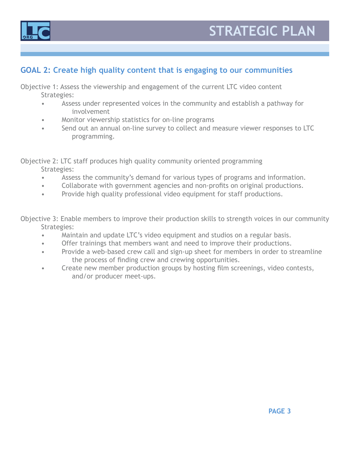



#### **GOAL 2: Create high quality content that is engaging to our communities**

Objective 1: Assess the viewership and engagement of the current LTC video content Strategies:

- Assess under represented voices in the community and establish a pathway for involvement
- Monitor viewership statistics for on-line programs
- Send out an annual on-line survey to collect and measure viewer responses to LTC programming.

Objective 2: LTC staff produces high quality community oriented programming Strategies:

- Assess the community's demand for various types of programs and information.
- Collaborate with government agencies and non-profits on original productions.
- Provide high quality professional video equipment for staff productions.

Objective 3: Enable members to improve their production skills to strength voices in our community Strategies:

- Maintain and update LTC's video equipment and studios on a regular basis.
- Offer trainings that members want and need to improve their productions.
- Provide a web-based crew call and sign-up sheet for members in order to streamline the process of finding crew and crewing opportunities.
- Create new member production groups by hosting film screenings, video contests, and/or producer meet-ups.